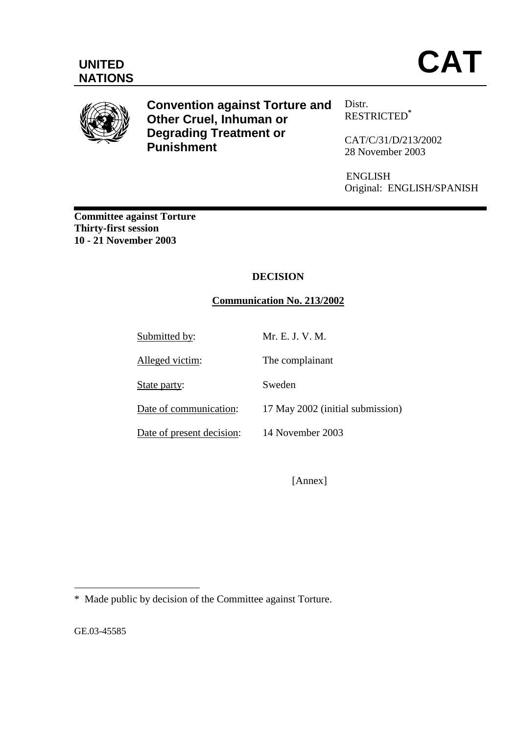

**Convention against Torture and Other Cruel, Inhuman or Degrading Treatment or Punishment** 

Distr. RESTRICTED**\***

CAT/C/31/D**/**213**/**2002 28 November 2003

ENGLISH Original: ENGLISH/SPANISH

**Committee against Torture Thirty-first session 10 - 21 November 2003** 

# **DECISION**

## **Communication No. 213/2002**

Submitted by: Mr. E. J. V. M. Alleged victim: The complainant State party: Sweden Date of communication: 17 May 2002 (initial submission) Date of present decision: 14 November 2003

[Annex]

GE.03-45585

 $\overline{a}$ 

<sup>\*</sup> Made public by decision of the Committee against Torture.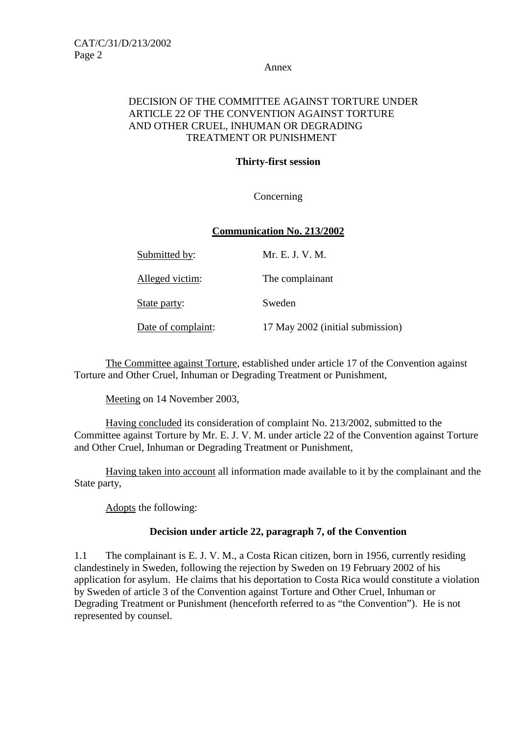Annex

### DECISION OF THE COMMITTEE AGAINST TORTURE UNDER ARTICLE 22 OF THE CONVENTION AGAINST TORTURE AND OTHER CRUEL, INHUMAN OR DEGRADING TREATMENT OR PUNISHMENT

## **Thirty-first session**

Concerning

### **Communication No. 213/2002**

| Submitted by:      | Mr. E. J. V. M.                  |
|--------------------|----------------------------------|
| Alleged victim:    | The complainant                  |
| State party:       | Sweden                           |
| Date of complaint: | 17 May 2002 (initial submission) |

 The Committee against Torture, established under article 17 of the Convention against Torture and Other Cruel, Inhuman or Degrading Treatment or Punishment,

Meeting on 14 November 2003,

 Having concluded its consideration of complaint No. 213/2002, submitted to the Committee against Torture by Mr. E. J. V. M. under article 22 of the Convention against Torture and Other Cruel, Inhuman or Degrading Treatment or Punishment,

 Having taken into account all information made available to it by the complainant and the State party,

Adopts the following:

### **Decision under article 22, paragraph 7, of the Convention**

1.1 The complainant is E. J. V. M., a Costa Rican citizen, born in 1956, currently residing clandestinely in Sweden, following the rejection by Sweden on 19 February 2002 of his application for asylum. He claims that his deportation to Costa Rica would constitute a violation by Sweden of article 3 of the Convention against Torture and Other Cruel, Inhuman or Degrading Treatment or Punishment (henceforth referred to as "the Convention"). He is not represented by counsel.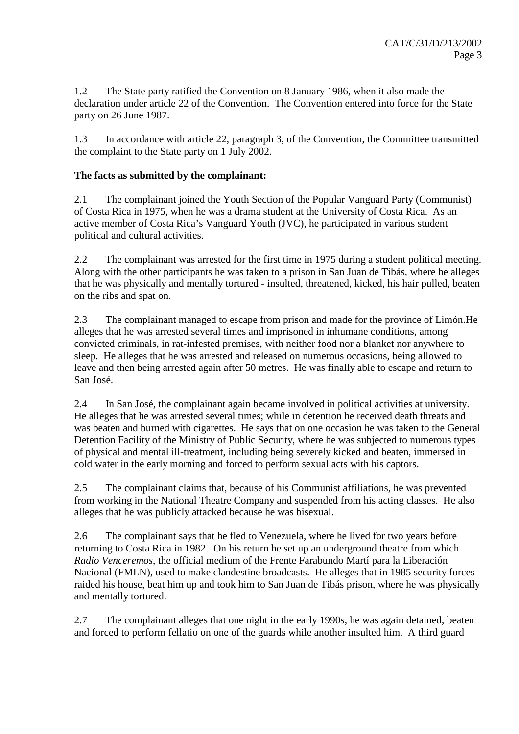1.2 The State party ratified the Convention on 8 January 1986, when it also made the declaration under article 22 of the Convention. The Convention entered into force for the State party on 26 June 1987.

1.3 In accordance with article 22, paragraph 3, of the Convention, the Committee transmitted the complaint to the State party on 1 July 2002.

### **The facts as submitted by the complainant:**

2.1 The complainant joined the Youth Section of the Popular Vanguard Party (Communist) of Costa Rica in 1975, when he was a drama student at the University of Costa Rica. As an active member of Costa Rica's Vanguard Youth (JVC), he participated in various student political and cultural activities.

2.2 The complainant was arrested for the first time in 1975 during a student political meeting. Along with the other participants he was taken to a prison in San Juan de Tibás, where he alleges that he was physically and mentally tortured - insulted, threatened, kicked, his hair pulled, beaten on the ribs and spat on.

2.3 The complainant managed to escape from prison and made for the province of Limón. He alleges that he was arrested several times and imprisoned in inhumane conditions, among convicted criminals, in rat-infested premises, with neither food nor a blanket nor anywhere to sleep. He alleges that he was arrested and released on numerous occasions, being allowed to leave and then being arrested again after 50 metres. He was finally able to escape and return to San José.

2.4 In San José, the complainant again became involved in political activities at university. He alleges that he was arrested several times; while in detention he received death threats and was beaten and burned with cigarettes. He says that on one occasion he was taken to the General Detention Facility of the Ministry of Public Security, where he was subjected to numerous types of physical and mental ill-treatment, including being severely kicked and beaten, immersed in cold water in the early morning and forced to perform sexual acts with his captors.

2.5 The complainant claims that, because of his Communist affiliations, he was prevented from working in the National Theatre Company and suspended from his acting classes. He also alleges that he was publicly attacked because he was bisexual.

2.6 The complainant says that he fled to Venezuela, where he lived for two years before returning to Costa Rica in 1982. On his return he set up an underground theatre from which *Radio Venceremos*, the official medium of the Frente Farabundo Martí para la Liberación Nacional (FMLN), used to make clandestine broadcasts. He alleges that in 1985 security forces raided his house, beat him up and took him to San Juan de Tibás prison, where he was physically and mentally tortured.

2.7 The complainant alleges that one night in the early 1990s, he was again detained, beaten and forced to perform fellatio on one of the guards while another insulted him. A third guard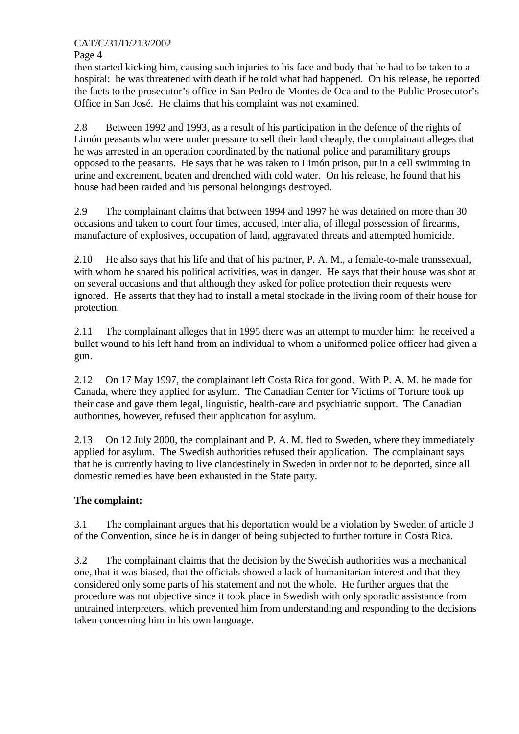## CAT/C/31/D/213/2002

Page 4

then started kicking him, causing such injuries to his face and body that he had to be taken to a hospital: he was threatened with death if he told what had happened. On his release, he reported the facts to the prosecutor's office in San Pedro de Montes de Oca and to the Public Prosecutor's Office in San José. He claims that his complaint was not examined.

2.8 Between 1992 and 1993, as a result of his participation in the defence of the rights of Limón peasants who were under pressure to sell their land cheaply, the complainant alleges that he was arrested in an operation coordinated by the national police and paramilitary groups opposed to the peasants. He says that he was taken to Limón prison, put in a cell swimming in urine and excrement, beaten and drenched with cold water. On his release, he found that his house had been raided and his personal belongings destroyed.

2.9 The complainant claims that between 1994 and 1997 he was detained on more than 30 occasions and taken to court four times, accused, inter alia, of illegal possession of firearms, manufacture of explosives, occupation of land, aggravated threats and attempted homicide.

2.10 He also says that his life and that of his partner, P. A. M., a female-to-male transsexual, with whom he shared his political activities, was in danger. He says that their house was shot at on several occasions and that although they asked for police protection their requests were ignored. He asserts that they had to install a metal stockade in the living room of their house for protection.

2.11 The complainant alleges that in 1995 there was an attempt to murder him: he received a bullet wound to his left hand from an individual to whom a uniformed police officer had given a gun.

2.12 On 17 May 1997, the complainant left Costa Rica for good. With P. A. M. he made for Canada, where they applied for asylum. The Canadian Center for Victims of Torture took up their case and gave them legal, linguistic, health-care and psychiatric support. The Canadian authorities, however, refused their application for asylum.

2.13 On 12 July 2000, the complainant and P. A. M. fled to Sweden, where they immediately applied for asylum. The Swedish authorities refused their application. The complainant says that he is currently having to live clandestinely in Sweden in order not to be deported, since all domestic remedies have been exhausted in the State party.

# **The complaint:**

3.1 The complainant argues that his deportation would be a violation by Sweden of article 3 of the Convention, since he is in danger of being subjected to further torture in Costa Rica.

3.2 The complainant claims that the decision by the Swedish authorities was a mechanical one, that it was biased, that the officials showed a lack of humanitarian interest and that they considered only some parts of his statement and not the whole. He further argues that the procedure was not objective since it took place in Swedish with only sporadic assistance from untrained interpreters, which prevented him from understanding and responding to the decisions taken concerning him in his own language.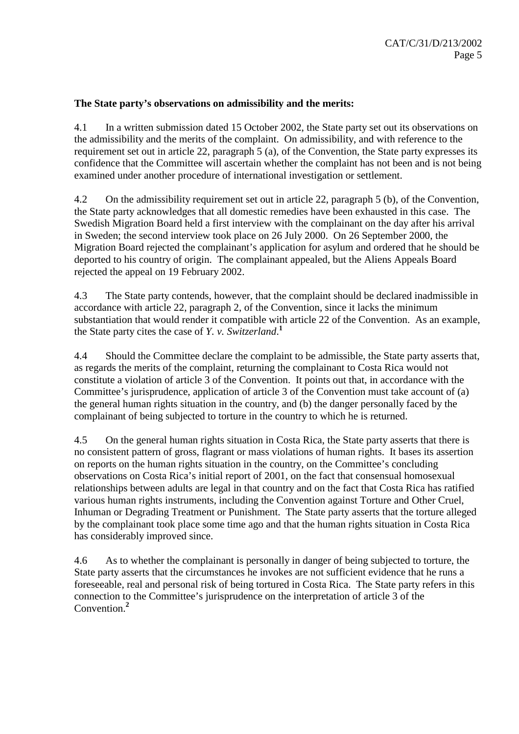#### **The State party's observations on admissibility and the merits:**

4.1 In a written submission dated 15 October 2002, the State party set out its observations on the admissibility and the merits of the complaint. On admissibility, and with reference to the requirement set out in article 22, paragraph 5 (a), of the Convention, the State party expresses its confidence that the Committee will ascertain whether the complaint has not been and is not being examined under another procedure of international investigation or settlement.

4.2 On the admissibility requirement set out in article 22, paragraph 5 (b), of the Convention, the State party acknowledges that all domestic remedies have been exhausted in this case. The Swedish Migration Board held a first interview with the complainant on the day after his arrival in Sweden; the second interview took place on 26 July 2000. On 26 September 2000, the Migration Board rejected the complainant's application for asylum and ordered that he should be deported to his country of origin. The complainant appealed, but the Aliens Appeals Board rejected the appeal on 19 February 2002.

4.3 The State party contends, however, that the complaint should be declared inadmissible in accordance with article 22, paragraph 2, of the Convention, since it lacks the minimum substantiation that would render it compatible with article 22 of the Convention. As an example, the State party cites the case of *Y. v. Switzerland*. **1**

4.4 Should the Committee declare the complaint to be admissible, the State party asserts that, as regards the merits of the complaint, returning the complainant to Costa Rica would not constitute a violation of article 3 of the Convention. It points out that, in accordance with the Committee's jurisprudence, application of article 3 of the Convention must take account of (a) the general human rights situation in the country, and (b) the danger personally faced by the complainant of being subjected to torture in the country to which he is returned.

4.5 On the general human rights situation in Costa Rica, the State party asserts that there is no consistent pattern of gross, flagrant or mass violations of human rights. It bases its assertion on reports on the human rights situation in the country, on the Committee's concluding observations on Costa Rica's initial report of 2001, on the fact that consensual homosexual relationships between adults are legal in that country and on the fact that Costa Rica has ratified various human rights instruments, including the Convention against Torture and Other Cruel, Inhuman or Degrading Treatment or Punishment. The State party asserts that the torture alleged by the complainant took place some time ago and that the human rights situation in Costa Rica has considerably improved since.

4.6 As to whether the complainant is personally in danger of being subjected to torture, the State party asserts that the circumstances he invokes are not sufficient evidence that he runs a foreseeable, real and personal risk of being tortured in Costa Rica. The State party refers in this connection to the Committee's jurisprudence on the interpretation of article 3 of the Convention.**<sup>2</sup>**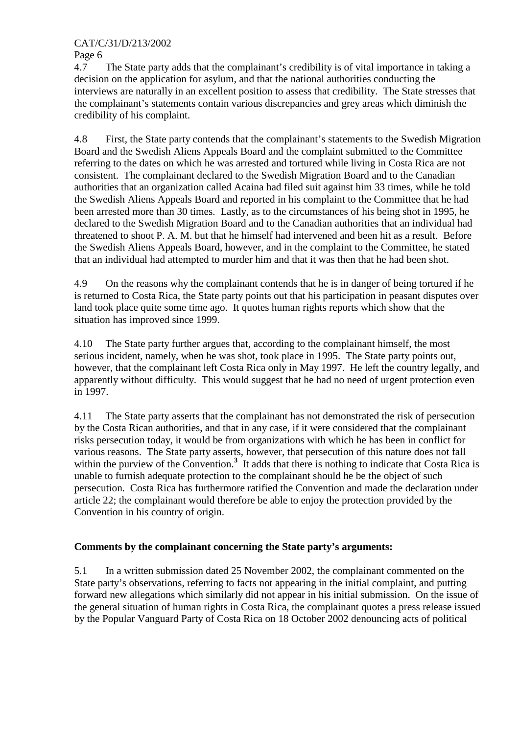### CAT/C/31/D/213/2002

Page 6

4.7 The State party adds that the complainant's credibility is of vital importance in taking a decision on the application for asylum, and that the national authorities conducting the interviews are naturally in an excellent position to assess that credibility. The State stresses that the complainant's statements contain various discrepancies and grey areas which diminish the credibility of his complaint.

4.8 First, the State party contends that the complainant's statements to the Swedish Migration Board and the Swedish Aliens Appeals Board and the complaint submitted to the Committee referring to the dates on which he was arrested and tortured while living in Costa Rica are not consistent. The complainant declared to the Swedish Migration Board and to the Canadian authorities that an organization called Acaina had filed suit against him 33 times, while he told the Swedish Aliens Appeals Board and reported in his complaint to the Committee that he had been arrested more than 30 times. Lastly, as to the circumstances of his being shot in 1995, he declared to the Swedish Migration Board and to the Canadian authorities that an individual had threatened to shoot P. A. M. but that he himself had intervened and been hit as a result. Before the Swedish Aliens Appeals Board, however, and in the complaint to the Committee, he stated that an individual had attempted to murder him and that it was then that he had been shot.

4.9 On the reasons why the complainant contends that he is in danger of being tortured if he is returned to Costa Rica, the State party points out that his participation in peasant disputes over land took place quite some time ago. It quotes human rights reports which show that the situation has improved since 1999.

4.10 The State party further argues that, according to the complainant himself, the most serious incident, namely, when he was shot, took place in 1995. The State party points out, however, that the complainant left Costa Rica only in May 1997. He left the country legally, and apparently without difficulty. This would suggest that he had no need of urgent protection even in 1997.

4.11 The State party asserts that the complainant has not demonstrated the risk of persecution by the Costa Rican authorities, and that in any case, if it were considered that the complainant risks persecution today, it would be from organizations with which he has been in conflict for various reasons. The State party asserts, however, that persecution of this nature does not fall within the purview of the Convention.<sup>3</sup> It adds that there is nothing to indicate that Costa Rica is unable to furnish adequate protection to the complainant should he be the object of such persecution. Costa Rica has furthermore ratified the Convention and made the declaration under article 22; the complainant would therefore be able to enjoy the protection provided by the Convention in his country of origin.

### **Comments by the complainant concerning the State party's arguments:**

5.1 In a written submission dated 25 November 2002, the complainant commented on the State party's observations, referring to facts not appearing in the initial complaint, and putting forward new allegations which similarly did not appear in his initial submission. On the issue of the general situation of human rights in Costa Rica, the complainant quotes a press release issued by the Popular Vanguard Party of Costa Rica on 18 October 2002 denouncing acts of political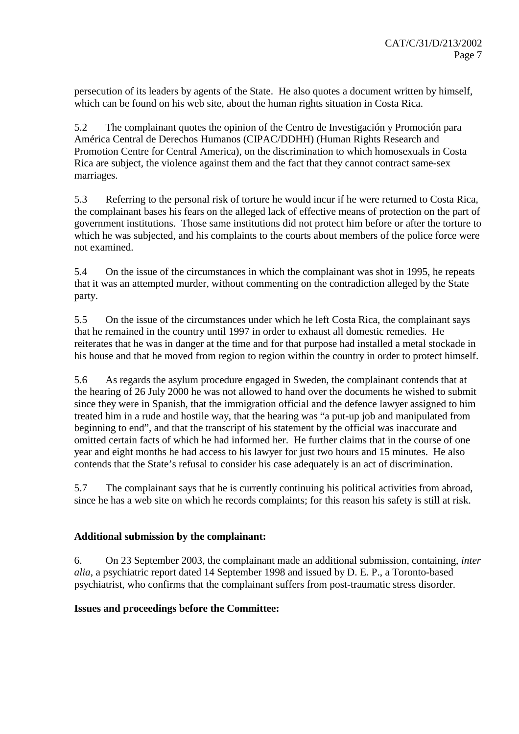persecution of its leaders by agents of the State. He also quotes a document written by himself, which can be found on his web site, about the human rights situation in Costa Rica.

5.2 The complainant quotes the opinion of the Centro de Investigación y Promoción para América Central de Derechos Humanos (CIPAC/DDHH) (Human Rights Research and Promotion Centre for Central America), on the discrimination to which homosexuals in Costa Rica are subject, the violence against them and the fact that they cannot contract same-sex marriages.

5.3 Referring to the personal risk of torture he would incur if he were returned to Costa Rica, the complainant bases his fears on the alleged lack of effective means of protection on the part of government institutions. Those same institutions did not protect him before or after the torture to which he was subjected, and his complaints to the courts about members of the police force were not examined.

5.4 On the issue of the circumstances in which the complainant was shot in 1995, he repeats that it was an attempted murder, without commenting on the contradiction alleged by the State party.

5.5 On the issue of the circumstances under which he left Costa Rica, the complainant says that he remained in the country until 1997 in order to exhaust all domestic remedies. He reiterates that he was in danger at the time and for that purpose had installed a metal stockade in his house and that he moved from region to region within the country in order to protect himself.

5.6 As regards the asylum procedure engaged in Sweden, the complainant contends that at the hearing of 26 July 2000 he was not allowed to hand over the documents he wished to submit since they were in Spanish, that the immigration official and the defence lawyer assigned to him treated him in a rude and hostile way, that the hearing was "a put-up job and manipulated from beginning to end", and that the transcript of his statement by the official was inaccurate and omitted certain facts of which he had informed her. He further claims that in the course of one year and eight months he had access to his lawyer for just two hours and 15 minutes. He also contends that the State's refusal to consider his case adequately is an act of discrimination.

5.7 The complainant says that he is currently continuing his political activities from abroad, since he has a web site on which he records complaints; for this reason his safety is still at risk.

### **Additional submission by the complainant:**

6. On 23 September 2003, the complainant made an additional submission, containing, *inter alia*, a psychiatric report dated 14 September 1998 and issued by D. E. P., a Toronto-based psychiatrist, who confirms that the complainant suffers from post-traumatic stress disorder.

### **Issues and proceedings before the Committee:**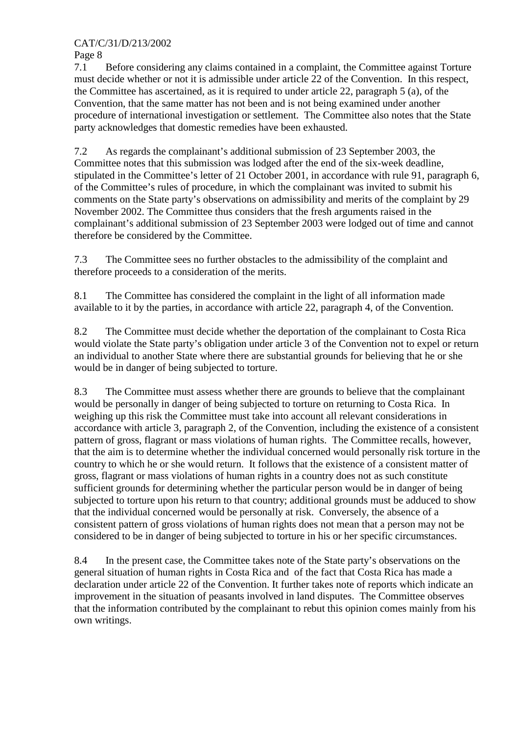CAT/C/31/D/213/2002

Page 8

7.1 Before considering any claims contained in a complaint, the Committee against Torture must decide whether or not it is admissible under article 22 of the Convention. In this respect, the Committee has ascertained, as it is required to under article 22, paragraph 5 (a), of the Convention, that the same matter has not been and is not being examined under another procedure of international investigation or settlement. The Committee also notes that the State party acknowledges that domestic remedies have been exhausted.

7.2 As regards the complainant's additional submission of 23 September 2003, the Committee notes that this submission was lodged after the end of the six-week deadline, stipulated in the Committee's letter of 21 October 2001, in accordance with rule 91, paragraph 6, of the Committee's rules of procedure, in which the complainant was invited to submit his comments on the State party's observations on admissibility and merits of the complaint by 29 November 2002. The Committee thus considers that the fresh arguments raised in the complainant's additional submission of 23 September 2003 were lodged out of time and cannot therefore be considered by the Committee.

7.3 The Committee sees no further obstacles to the admissibility of the complaint and therefore proceeds to a consideration of the merits.

8.1 The Committee has considered the complaint in the light of all information made available to it by the parties, in accordance with article 22, paragraph 4, of the Convention.

8.2 The Committee must decide whether the deportation of the complainant to Costa Rica would violate the State party's obligation under article 3 of the Convention not to expel or return an individual to another State where there are substantial grounds for believing that he or she would be in danger of being subjected to torture.

8.3 The Committee must assess whether there are grounds to believe that the complainant would be personally in danger of being subjected to torture on returning to Costa Rica. In weighing up this risk the Committee must take into account all relevant considerations in accordance with article 3, paragraph 2, of the Convention, including the existence of a consistent pattern of gross, flagrant or mass violations of human rights. The Committee recalls, however, that the aim is to determine whether the individual concerned would personally risk torture in the country to which he or she would return. It follows that the existence of a consistent matter of gross, flagrant or mass violations of human rights in a country does not as such constitute sufficient grounds for determining whether the particular person would be in danger of being subjected to torture upon his return to that country; additional grounds must be adduced to show that the individual concerned would be personally at risk. Conversely, the absence of a consistent pattern of gross violations of human rights does not mean that a person may not be considered to be in danger of being subjected to torture in his or her specific circumstances.

8.4 In the present case, the Committee takes note of the State party's observations on the general situation of human rights in Costa Rica and of the fact that Costa Rica has made a declaration under article 22 of the Convention. It further takes note of reports which indicate an improvement in the situation of peasants involved in land disputes. The Committee observes that the information contributed by the complainant to rebut this opinion comes mainly from his own writings.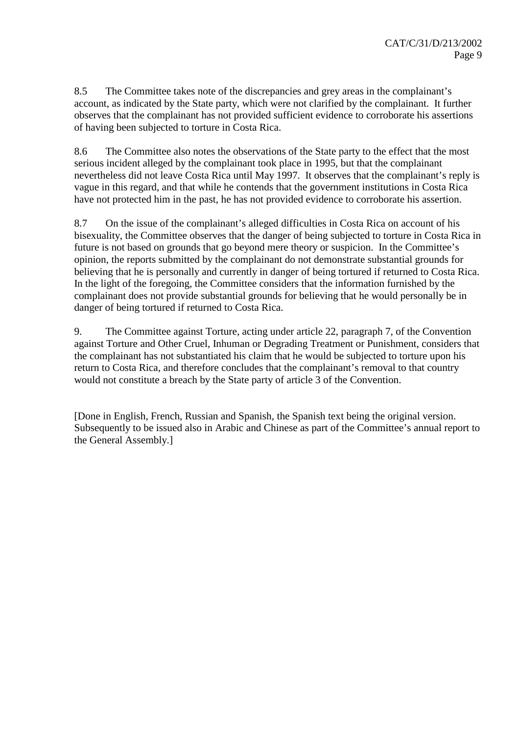8.5 The Committee takes note of the discrepancies and grey areas in the complainant's account, as indicated by the State party, which were not clarified by the complainant. It further observes that the complainant has not provided sufficient evidence to corroborate his assertions of having been subjected to torture in Costa Rica.

8.6 The Committee also notes the observations of the State party to the effect that the most serious incident alleged by the complainant took place in 1995, but that the complainant nevertheless did not leave Costa Rica until May 1997. It observes that the complainant's reply is vague in this regard, and that while he contends that the government institutions in Costa Rica have not protected him in the past, he has not provided evidence to corroborate his assertion.

8.7 On the issue of the complainant's alleged difficulties in Costa Rica on account of his bisexuality, the Committee observes that the danger of being subjected to torture in Costa Rica in future is not based on grounds that go beyond mere theory or suspicion. In the Committee's opinion, the reports submitted by the complainant do not demonstrate substantial grounds for believing that he is personally and currently in danger of being tortured if returned to Costa Rica. In the light of the foregoing, the Committee considers that the information furnished by the complainant does not provide substantial grounds for believing that he would personally be in danger of being tortured if returned to Costa Rica.

9. The Committee against Torture, acting under article 22, paragraph 7, of the Convention against Torture and Other Cruel, Inhuman or Degrading Treatment or Punishment, considers that the complainant has not substantiated his claim that he would be subjected to torture upon his return to Costa Rica, and therefore concludes that the complainant's removal to that country would not constitute a breach by the State party of article 3 of the Convention.

[Done in English, French, Russian and Spanish, the Spanish text being the original version. Subsequently to be issued also in Arabic and Chinese as part of the Committee's annual report to the General Assembly.]